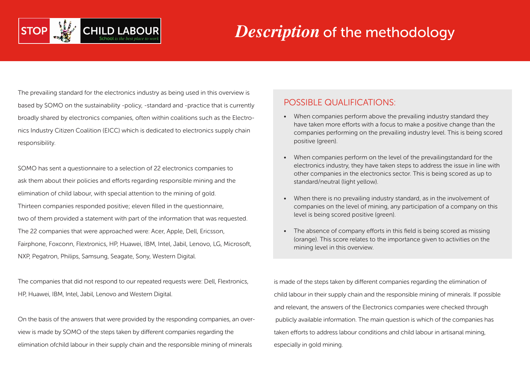

#### *Description* of the methodology

The prevailing standard for the electronics industry as being used in this overview is based by SOMO on the sustainability -policy, -standard and -practice that is currently broadly shared by electronics companies, often within coalitions such as the Electronics Industry Citizen Coalition (EICC) which is dedicated to electronics supply chain responsibility.

SOMO has sent a questionnaire to a selection of 22 electronics companies to ask them about their policies and efforts regarding responsible mining and the elimination of child labour, with special attention to the mining of gold. Thirteen companies responded positive; eleven filled in the questionnaire, two of them provided a statement with part of the information that was requested. The 22 companies that were approached were: Acer, Apple, Dell, Ericsson, Fairphone, Foxconn, Flextronics, HP, Huawei, IBM, Intel, Jabil, Lenovo, LG, Microsoft, NXP, Pegatron, Philips, Samsung, Seagate, Sony, Western Digital.

The companies that did not respond to our repeated requests were: Dell, Flextronics, HP, Huawei, IBM, Intel, Jabil, Lenovo and Western Digital.

On the basis of the answers that were provided by the responding companies, an overview is made by SOMO of the steps taken by different companies regarding the elimination ofchild labour in their supply chain and the responsible mining of minerals

#### POSSIBLE QUALIFICATIONS:

- When companies perform above the prevailing industry standard they have taken more efforts with a focus to make a positive change than the companies performing on the prevailing industry level. This is being scored positive (green).
- • When companies perform on the level of the prevailingstandard for the electronics industry, they have taken steps to address the issue in line with other companies in the electronics sector. This is being scored as up to standard/neutral (light yellow).
- When there is no prevailing industry standard, as in the involvement of companies on the level of mining, any participation of a company on this level is being scored positive (green).
- The absence of company efforts in this field is being scored as missing (orange). This score relates to the importance given to activities on the mining level in this overview.

is made of the steps taken by different companies regarding the elimination of child labour in their supply chain and the responsible mining of minerals. If possible and relevant, the answers of the Electronics companies were checked through publicly available information. The main question is which of the companies has taken efforts to address labour conditions and child labour in artisanal mining, especially in gold mining.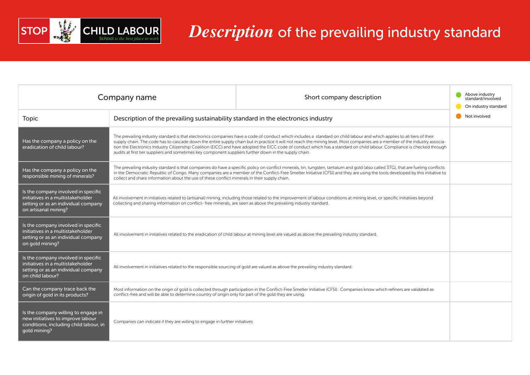

# *Description* of the prevailing industry standard

|                                                                                                                                         | Company name                                                                                                                                                                                                                                                                                                                                                                                                                                                                                                                                                                                                                                 | Short company description | Above industry<br>standard/involved<br>On industry standard |
|-----------------------------------------------------------------------------------------------------------------------------------------|----------------------------------------------------------------------------------------------------------------------------------------------------------------------------------------------------------------------------------------------------------------------------------------------------------------------------------------------------------------------------------------------------------------------------------------------------------------------------------------------------------------------------------------------------------------------------------------------------------------------------------------------|---------------------------|-------------------------------------------------------------|
| <b>Topic</b>                                                                                                                            | Description of the prevailing sustainability standard in the electronics industry                                                                                                                                                                                                                                                                                                                                                                                                                                                                                                                                                            |                           | Not involved                                                |
| Has the company a policy on the<br>eradication of child labour?                                                                         | The prevailing industry standard is that electronics companies have a code of conduct which includes a standard on child labour and which applies to all tiers of their<br>supply chain. The code has to cascade down the entire supply chain but in practice it will not reach the mining level. Most companies are a member of the industry associa-<br>tion the Electronics Industry Citizenship Coalition (EICC) and have adopted the EICC code of conduct which has a standard on child labour. Compliance is checked through<br>audits at first tier suppliers and sometimes key component suppliers further down in the supply chain. |                           |                                                             |
| Has the company a policy on the<br>responsible mining of minerals?                                                                      | The prevailing industry standard is that companies do have a specific policy on conflict minerals, tin, tungsten, tantalum and gold (also called 3TG), that are fueling conflicts<br>in the Democratic Republic of Congo. Many companies are a member of the Conflict-Free Smelter Initiative (CFSI) and they are using the tools developed by this initiative to<br>collect and share information about the use of these conflict minerals in their supply chain.                                                                                                                                                                           |                           |                                                             |
| Is the company involved in specific<br>initiatives in a multistakeholder<br>setting or as an individual company<br>on artisanal mining? | All involvement in initiatives related to (artisanal) mining, including those related to the improvement of labour conditions at mining level, or specific initiatives beyond<br>collecting and sharing information on conflict- free minerals, are seen as above the prevailing industry standard.                                                                                                                                                                                                                                                                                                                                          |                           |                                                             |
| Is the company involved in specific<br>initiatives in a multistakeholder<br>setting or as an individual company<br>on gold mining?      | All involvement in initiatives related to the eradication of child labour at mining level are valued as above the prevailing industry standard.                                                                                                                                                                                                                                                                                                                                                                                                                                                                                              |                           |                                                             |
| Is the company involved in specific<br>initiatives in a multistakeholder<br>setting or as an individual company<br>on child labour?     | All involvement in initiatives related to the responsible sourcing of gold are valued as above the prevailing industry standard.                                                                                                                                                                                                                                                                                                                                                                                                                                                                                                             |                           |                                                             |
| Can the company trace back the<br>origin of gold in its products?                                                                       | Most information on the origin of gold is collected through participation in the Conflict-Free Smelter Initiative (CFSI). Companies know which refiners are validated as<br>conflict-free and will be able to determine country of origin only for part of the gold they are using.                                                                                                                                                                                                                                                                                                                                                          |                           |                                                             |
| Is the company willing to engage in<br>new initiatives to improve labour<br>conditions, including child labour, in<br>gold mining?      | Companies can indicate if they are willing to engage in further initiatives                                                                                                                                                                                                                                                                                                                                                                                                                                                                                                                                                                  |                           |                                                             |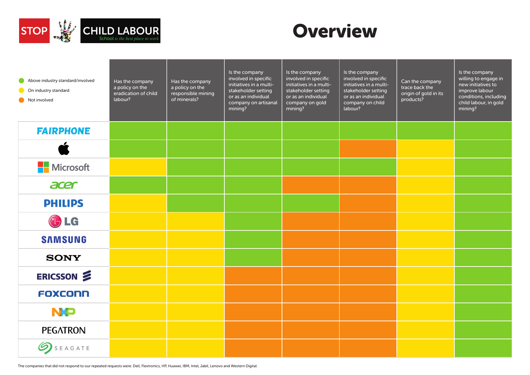

#### **Overview**

| Above industry standard/involved<br>O<br>On industry standard<br>Not involved | Has the company<br>a policy on the<br>eradication of child<br>labour? | Has the company<br>a policy on the<br>responsible mining<br>of minerals? | Is the company<br>involved in specific<br>initiatives in a multi-<br>stakeholder setting<br>or as an individual<br>company on artisanal<br>mining? | Is the company<br>involved in specific<br>initiatives in a multi-<br>stakeholder setting<br>or as an individual<br>company on gold<br>mining? | Is the company<br>involved in specific<br>initiatives in a multi-<br>stakeholder setting<br>or as an individual<br>company on child<br>labour? | Can the company<br>trace back the<br>origin of gold in its<br>products? | Is the company<br>willing to engage in<br>new initiatives to<br>improve labour<br>conditions, including<br>child labour, in gold<br>mining? |
|-------------------------------------------------------------------------------|-----------------------------------------------------------------------|--------------------------------------------------------------------------|----------------------------------------------------------------------------------------------------------------------------------------------------|-----------------------------------------------------------------------------------------------------------------------------------------------|------------------------------------------------------------------------------------------------------------------------------------------------|-------------------------------------------------------------------------|---------------------------------------------------------------------------------------------------------------------------------------------|
| <b>FAIRPHONE</b>                                                              |                                                                       |                                                                          |                                                                                                                                                    |                                                                                                                                               |                                                                                                                                                |                                                                         |                                                                                                                                             |
|                                                                               |                                                                       |                                                                          |                                                                                                                                                    |                                                                                                                                               |                                                                                                                                                |                                                                         |                                                                                                                                             |
| <b>Microsoft</b><br>Н                                                         |                                                                       |                                                                          |                                                                                                                                                    |                                                                                                                                               |                                                                                                                                                |                                                                         |                                                                                                                                             |
| acer                                                                          |                                                                       |                                                                          |                                                                                                                                                    |                                                                                                                                               |                                                                                                                                                |                                                                         |                                                                                                                                             |
| <b>PHILIPS</b>                                                                |                                                                       |                                                                          |                                                                                                                                                    |                                                                                                                                               |                                                                                                                                                |                                                                         |                                                                                                                                             |
| <b>U</b> LG                                                                   |                                                                       |                                                                          |                                                                                                                                                    |                                                                                                                                               |                                                                                                                                                |                                                                         |                                                                                                                                             |
| <b>SAMSUNG</b>                                                                |                                                                       |                                                                          |                                                                                                                                                    |                                                                                                                                               |                                                                                                                                                |                                                                         |                                                                                                                                             |
| <b>SONY</b>                                                                   |                                                                       |                                                                          |                                                                                                                                                    |                                                                                                                                               |                                                                                                                                                |                                                                         |                                                                                                                                             |
| ERICSSON 2                                                                    |                                                                       |                                                                          |                                                                                                                                                    |                                                                                                                                               |                                                                                                                                                |                                                                         |                                                                                                                                             |
| FOXCONN                                                                       |                                                                       |                                                                          |                                                                                                                                                    |                                                                                                                                               |                                                                                                                                                |                                                                         |                                                                                                                                             |
| <b>NO</b>                                                                     |                                                                       |                                                                          |                                                                                                                                                    |                                                                                                                                               |                                                                                                                                                |                                                                         |                                                                                                                                             |
| <b>PEGATRON</b>                                                               |                                                                       |                                                                          |                                                                                                                                                    |                                                                                                                                               |                                                                                                                                                |                                                                         |                                                                                                                                             |
| SEAGATE                                                                       |                                                                       |                                                                          |                                                                                                                                                    |                                                                                                                                               |                                                                                                                                                |                                                                         |                                                                                                                                             |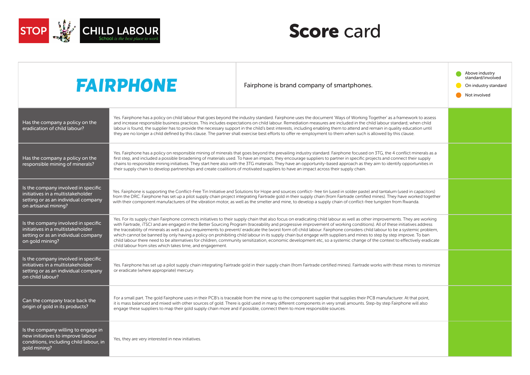

|                                                                                                                                         | <b>FAIRPHONE</b>                                                                                                                                                                                                                                                                                                                                                                                                                                                                                                                                                                                                                                                                                                                                                                                                                                                                                                                                    | Fairphone is brand company of smartphones. | Above industry<br>standard/involved<br>On industry standard<br>Not involved |
|-----------------------------------------------------------------------------------------------------------------------------------------|-----------------------------------------------------------------------------------------------------------------------------------------------------------------------------------------------------------------------------------------------------------------------------------------------------------------------------------------------------------------------------------------------------------------------------------------------------------------------------------------------------------------------------------------------------------------------------------------------------------------------------------------------------------------------------------------------------------------------------------------------------------------------------------------------------------------------------------------------------------------------------------------------------------------------------------------------------|--------------------------------------------|-----------------------------------------------------------------------------|
| Has the company a policy on the<br>eradication of child labour?                                                                         | Yes. Fairphone has a policy on child labour that goes beyond the industry standard. Fairphone uses the document 'Ways of Working Together' as a framework to assess<br>and increase responsible business practices. This includes expectations on child labour. Remediation measures are included in the child labour standard; when child<br>labour is found, the supplier has to provide the necessary support in the child's best interests, including enabling them to attend and remain in quality education until<br>they are no longer a child defined by this clause. The partner shall exercise best efforts to offer re-employment to them when such is allowed by this clause.                                                                                                                                                                                                                                                           |                                            |                                                                             |
| Has the company a policy on the<br>responsible mining of minerals?                                                                      | Yes. Fairphone has a policy on responsible mining of minerals that goes beyond the prevailing industry standard. Fairphone focused on 3TG, the 4 conflict minerals as a<br>first step, and included a possible broadening of materials used. To have an impact, they encourage suppliers to partner in specific projects and connect their supply<br>chains to responsible mining initiatives. They start here also with the 3TG materials. They have an opportunity-based approach as they aim to identify opportunities in<br>their supply chain to develop partnerships and create coalitions of motivated suppliers to have an impact across their supply chain.                                                                                                                                                                                                                                                                                |                                            |                                                                             |
| Is the company involved in specific<br>initiatives in a multistakeholder<br>setting or as an individual company<br>on artisanal mining? | Yes. Fairphone is supporting the Conflict-Free Tin Initiative and Solutions for Hope and sources conflict-free tin (used in solder paste) and tantalum (used in capacitors)<br>from the DRC. Fairphone has set up a pilot supply chain project integrating Fairtrade gold in their supply chain (from Fairtrade certified mines). They have worked together<br>with their component manufacturers of the vibration motor, as well as the smelter and mine, to develop a supply chain of conflict-free tungsten from Rwanda.                                                                                                                                                                                                                                                                                                                                                                                                                         |                                            |                                                                             |
| Is the company involved in specific<br>initiatives in a multistakeholder<br>setting or as an individual company<br>on gold mining?      | Yes. For its supply chain Fairphone connects initiatives to their supply chain that also focus on eradicating child labour as well as other improvements. They are working<br>with Fairtrade, iTSCI and are engaged in the Better Sourcing Program (traceability and progressive improvement of working conditions). All of these initiatives address<br>the traceability of minerals as well as put requirements to prevent/ eradicate the (worst form of) child labour. Fairphone considers child labour to be a systemic problem,<br>which cannot be banned by only having a policy on prohibiting child labour in its supply chain but engage with suppliers and mines to step by step improve. To ban<br>child labour there need to be alternatives for children, community sensitization, economic development etc, so a systemic change of the context to effectively eradicate<br>child labour from sites which takes time, and engagement. |                                            |                                                                             |
| Is the company involved in specific<br>initiatives in a multistakeholder<br>setting or as an individual company<br>on child labour?     | Yes. Fairphone has set up a pilot supply chain integrating Fairtrade gold in their supply chain (from Fairtrade certified mines). Fairtrade works with these mines to minimize<br>or eradicate (where appropriate) mercury.                                                                                                                                                                                                                                                                                                                                                                                                                                                                                                                                                                                                                                                                                                                         |                                            |                                                                             |
| Can the company trace back the<br>origin of gold in its products?                                                                       | For a small part. The gold Fairphone uses in their PCB's is traceable from the mine up to the component supplier that supplies their PCB manufacturer. At that point,<br>it is mass balanced and mixed with other sources of gold. There is gold used in many different components in very small amounts. Step-by step Fairphone will also<br>engage these suppliers to map their gold supply chain more and if possible, connect them to more responsible sources.                                                                                                                                                                                                                                                                                                                                                                                                                                                                                 |                                            |                                                                             |
| Is the company willing to engage in<br>new initiatives to improve labour<br>conditions, including child labour, in<br>qold mining?      | Yes, they are very interested in new initiatives.                                                                                                                                                                                                                                                                                                                                                                                                                                                                                                                                                                                                                                                                                                                                                                                                                                                                                                   |                                            |                                                                             |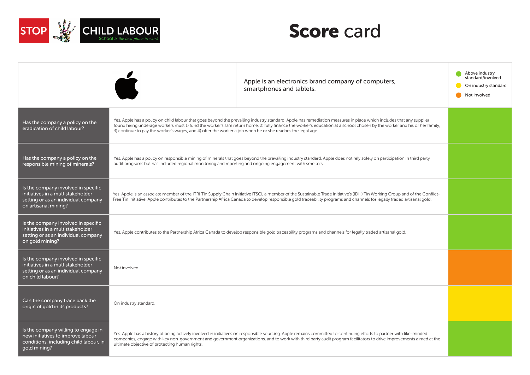

|                                                                                                                                         |                                                                                                                                                                                                                                                                                                                                                           | Apple is an electronics brand company of computers,<br>smartphones and tablets.                                                                                                                                                                                                                                                                  | Above industry<br>standard/involved<br>On industry standard<br>Not involved |
|-----------------------------------------------------------------------------------------------------------------------------------------|-----------------------------------------------------------------------------------------------------------------------------------------------------------------------------------------------------------------------------------------------------------------------------------------------------------------------------------------------------------|--------------------------------------------------------------------------------------------------------------------------------------------------------------------------------------------------------------------------------------------------------------------------------------------------------------------------------------------------|-----------------------------------------------------------------------------|
| Has the company a policy on the<br>eradication of child labour?                                                                         | 3) continue to pay the worker's wages, and 4) offer the worker a job when he or she reaches the legal age.                                                                                                                                                                                                                                                | Yes. Apple has a policy on child labour that goes beyond the prevailing industry standard. Apple has remediation measures in place which includes that any supplier<br>found hiring underage workers must 1) fund the worker's safe return home, 2) fully finance the worker's education at a school chosen by the worker and his or her family, |                                                                             |
| Has the company a policy on the<br>responsible mining of minerals?                                                                      | Yes. Apple has a policy on responsible mining of minerals that goes beyond the prevailing industry standard. Apple does not rely solely on participation in third party<br>audit programs but has included regional monitoring and reporting and ongoing engagement with smelters.                                                                        |                                                                                                                                                                                                                                                                                                                                                  |                                                                             |
| Is the company involved in specific<br>initiatives in a multistakeholder<br>setting or as an individual company<br>on artisanal mining? | Yes. Apple is an associate member of the ITRI Tin Supply Chain Initiative iTSCI, a member of the Sustainable Trade Initiative's (IDH) Tin Working Group and of the Conflict-<br>Free Tin Initiative. Apple contributes to the Partnership Africa Canada to develop responsible gold traceability programs and channels for legally traded artisanal gold. |                                                                                                                                                                                                                                                                                                                                                  |                                                                             |
| Is the company involved in specific<br>initiatives in a multistakeholder<br>setting or as an individual company<br>on gold mining?      |                                                                                                                                                                                                                                                                                                                                                           | Yes. Apple contributes to the Partnership Africa Canada to develop responsible gold traceability programs and channels for legally traded artisanal gold.                                                                                                                                                                                        |                                                                             |
| Is the company involved in specific<br>initiatives in a multistakeholder<br>setting or as an individual company<br>on child labour?     | Not involved.                                                                                                                                                                                                                                                                                                                                             |                                                                                                                                                                                                                                                                                                                                                  |                                                                             |
| Can the company trace back the<br>origin of gold in its products?                                                                       | On industry standard.                                                                                                                                                                                                                                                                                                                                     |                                                                                                                                                                                                                                                                                                                                                  |                                                                             |
| Is the company willing to engage in<br>new initiatives to improve labour<br>conditions, including child labour, in<br>gold mining?      | ultimate objective of protecting human rights.                                                                                                                                                                                                                                                                                                            | Yes. Apple has a history of being actively involved in initiatives on responsible sourcing. Apple remains committed to continuing efforts to partner with like-minded<br>companies, engage with key non-government and government organizations, and to work with third party audit program facilitators to drive improvements aimed at the      |                                                                             |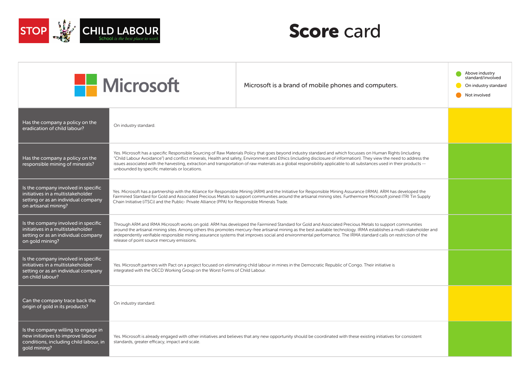

|                                                                                                                                         | <b>Nicrosoft</b>                                                                                                                                                                                                                                                                                                                                                                                                                                                                                                                                               | Microsoft is a brand of mobile phones and computers.                                                                                                                | Above industry<br>standard/involved<br>On industry standard<br>Not involved |
|-----------------------------------------------------------------------------------------------------------------------------------------|----------------------------------------------------------------------------------------------------------------------------------------------------------------------------------------------------------------------------------------------------------------------------------------------------------------------------------------------------------------------------------------------------------------------------------------------------------------------------------------------------------------------------------------------------------------|---------------------------------------------------------------------------------------------------------------------------------------------------------------------|-----------------------------------------------------------------------------|
| Has the company a policy on the<br>eradication of child labour?                                                                         | On industry standard.                                                                                                                                                                                                                                                                                                                                                                                                                                                                                                                                          |                                                                                                                                                                     |                                                                             |
| Has the company a policy on the<br>responsible mining of minerals?                                                                      | Yes. Microsoft has a specific Responsible Sourcing of Raw Materials Policy that goes beyond industry standard and which focusses on Human Rights (including<br>"Child Labour Avoidance") and conflict minerals, Health and safety, Environment and Ethics (including disclosure of information). They view the need to address the<br>issues associated with the harvesting, extraction and transportation of raw materials as a global responsibility applicable to all substances used in their products --<br>unbounded by specific materials or locations. |                                                                                                                                                                     |                                                                             |
| Is the company involved in specific<br>initiatives in a multistakeholder<br>setting or as an individual company<br>on artisanal mining? | Yes. Microsoft has a partnership with the Alliance for Responsible Mining (ARM) and the Initiative for Responsible Mining Assurance (IRMA). ARM has developed the<br>Fairmined Standard for Gold and Associated Precious Metals to support communities around the artisanal mining sites. Furthermore Microsoft joined ITRI Tin Supply<br>Chain Initiative (iTSCi) and the Public-Private Alliance (PPA) for Responsible Minerals Trade.                                                                                                                       |                                                                                                                                                                     |                                                                             |
| Is the company involved in specific<br>initiatives in a multistakeholder<br>setting or as an individual company<br>on gold mining?      | Through ARM and IRMA Microsoft works on gold. ARM has developed the Fairmined Standard for Gold and Associated Precious Metals to support communities<br>around the artisanal mining sites. Among others this promotes mercury-free artisanal mining as the best available technology. IRMA establishes a multi-stakeholder and<br>independently verifiable responsible mining assurance systems that improves social and environmental performance. The IRMA standard calls on restriction of the<br>release of point source mercury emissions.               |                                                                                                                                                                     |                                                                             |
| Is the company involved in specific<br>initiatives in a multistakeholder<br>setting or as an individual company<br>on child labour?     | Yes. Microsoft partners with Pact on a project focused on eliminating child labour in mines in the Democratic Republic of Congo. Their initiative is<br>integrated with the OECD Working Group on the Worst Forms of Child Labour.                                                                                                                                                                                                                                                                                                                             |                                                                                                                                                                     |                                                                             |
| Can the company trace back the<br>origin of gold in its products?                                                                       | On industry standard.                                                                                                                                                                                                                                                                                                                                                                                                                                                                                                                                          |                                                                                                                                                                     |                                                                             |
| Is the company willing to engage in<br>new initiatives to improve labour<br>conditions, including child labour, in<br>qold mining?      | standards, greater efficacy, impact and scale.                                                                                                                                                                                                                                                                                                                                                                                                                                                                                                                 | Yes. Microsoft is already engaged with other initiatives and believes that any new opportunity should be coordinated with these existing initiatives for consistent |                                                                             |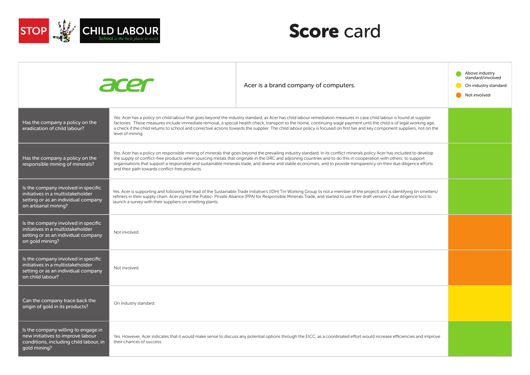



|                                                                                                                                         | acer                                                                                                                                                                                                                                                                                                                                                                                                                       | Acer is a brand company of computers.                                                                                                                                                                                                                                                                                                                                                                                                                                                                                          | Above industry<br>standard/involved<br>On industry standard<br>Not involved |
|-----------------------------------------------------------------------------------------------------------------------------------------|----------------------------------------------------------------------------------------------------------------------------------------------------------------------------------------------------------------------------------------------------------------------------------------------------------------------------------------------------------------------------------------------------------------------------|--------------------------------------------------------------------------------------------------------------------------------------------------------------------------------------------------------------------------------------------------------------------------------------------------------------------------------------------------------------------------------------------------------------------------------------------------------------------------------------------------------------------------------|-----------------------------------------------------------------------------|
| Has the company a policy on the<br>eradication of child labour?                                                                         | level of mining.                                                                                                                                                                                                                                                                                                                                                                                                           | Yes. Acer has a policy on child labour that goes beyond the industry standard, as Acer has child labour remediation measures in case child labour is found at supplier<br>factories. These measures include immediate removal, a special health check, transport to the home, continuing wage payment until the child is of legal working age,<br>a check if the child returns to school and corrective actions towards the supplier. The child labour policy is focused on first tier and key component suppliers, not on the |                                                                             |
| Has the company a policy on the<br>responsible mining of minerals?                                                                      | and their path towards conflict-free products.                                                                                                                                                                                                                                                                                                                                                                             | Yes. Acer has a policy on responsible mining of minerals that goes beyond the prevailing industry standard. In its conflict minerals policy Acer has included to develop<br>the supply of conflict-free products when sourcing metals that originate in the DRC and adjoining countries and to do this in cooperation with others; to support<br>organisations that support a responsible and sustainable minerals trade, and diverse and stable economies; and to provide transparency on their due diligence efforts         |                                                                             |
| Is the company involved in specific<br>initiatives in a multistakeholder<br>setting or as an individual company<br>on artisanal mining? | Yes. Acer is supporting and following the lead of the Sustainable Trade Initiative's (IDH) Tin Working Group (is not a member of the project) and is identifying tin smelters/<br>refiners in their supply chain. Acer joined the Public-Private Alliance (PPA) for Responsible Minerals Trade, and started to use their draft version 2 due diligence tool to<br>launch a survey with their suppliers on smelting plants. |                                                                                                                                                                                                                                                                                                                                                                                                                                                                                                                                |                                                                             |
| Is the company involved in specific<br>initiatives in a multistakeholder<br>setting or as an individual company<br>on gold mining?      | Not involved.                                                                                                                                                                                                                                                                                                                                                                                                              |                                                                                                                                                                                                                                                                                                                                                                                                                                                                                                                                |                                                                             |
| Is the company involved in specific<br>initiatives in a multistakeholder<br>setting or as an individual company<br>on child labour?     | Not involved.                                                                                                                                                                                                                                                                                                                                                                                                              |                                                                                                                                                                                                                                                                                                                                                                                                                                                                                                                                |                                                                             |
| Can the company trace back the<br>origin of gold in its products?                                                                       | On industry standard.                                                                                                                                                                                                                                                                                                                                                                                                      |                                                                                                                                                                                                                                                                                                                                                                                                                                                                                                                                |                                                                             |
| Is the company willing to engage in<br>new initiatives to improve labour<br>conditions, including child labour, in<br>gold mining?      | their chances of success.                                                                                                                                                                                                                                                                                                                                                                                                  | Yes. However, Acer indicates that it would make sense to discuss any potential options through the EICC, as a coordinated effort would increase efficiencies and improve                                                                                                                                                                                                                                                                                                                                                       |                                                                             |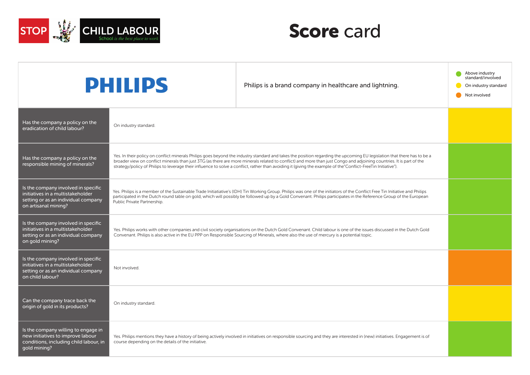

|                                                                                                                                         | <b>PHILIPS</b>                                                                                                                                                                                                                                                                                                                                                                                                                                                                                                    | Philips is a brand company in healthcare and lightning.                                                                                                                    | Above industry<br>standard/involved<br>On industry standard<br>Not involved |
|-----------------------------------------------------------------------------------------------------------------------------------------|-------------------------------------------------------------------------------------------------------------------------------------------------------------------------------------------------------------------------------------------------------------------------------------------------------------------------------------------------------------------------------------------------------------------------------------------------------------------------------------------------------------------|----------------------------------------------------------------------------------------------------------------------------------------------------------------------------|-----------------------------------------------------------------------------|
| Has the company a policy on the<br>eradication of child labour?                                                                         | On industry standard.                                                                                                                                                                                                                                                                                                                                                                                                                                                                                             |                                                                                                                                                                            |                                                                             |
| Has the company a policy on the<br>responsible mining of minerals?                                                                      | Yes. In their policy on conflict minerals Philips goes beyond the industry standard and takes the position regarding the upcoming EU legislation that there has to be a<br>broader view on conflict minerals than just 3TG (as there are more minerals related to conflict) and more than just Congo and adjoining countries. It is part of the<br>strategy/policy of Philips to leverage their influence to solve a conflict, rather than avoiding it (giving the example of the "Conflict-FreeTin Initiative"). |                                                                                                                                                                            |                                                                             |
| Is the company involved in specific<br>initiatives in a multistakeholder<br>setting or as an individual company<br>on artisanal mining? | Yes. Philips is a member of the Sustainable Trade Initiatiative's (IDH) Tin Working Group. Philips was one of the initiators of the Conflict Free Tin Initiative and Philips<br>participated in the Dutch round table on gold, which will possibly be followed up by a Gold Convenant. Philips participates in the Reference Group of the European<br>Public Private Partnership.                                                                                                                                 |                                                                                                                                                                            |                                                                             |
| Is the company involved in specific<br>initiatives in a multistakeholder<br>setting or as an individual company<br>on gold mining?      | Yes. Philips works with other companies and civil society organisations on the Dutch Gold Convenant. Child labour is one of the issues discussed in the Dutch Gold<br>Convenant. Philips is also active in the EU PPP on Responsible Sourcing of Minerals, where also the use of mercury is a potential topic.                                                                                                                                                                                                    |                                                                                                                                                                            |                                                                             |
| Is the company involved in specific<br>initiatives in a multistakeholder<br>setting or as an individual company<br>on child labour?     | Not involved                                                                                                                                                                                                                                                                                                                                                                                                                                                                                                      |                                                                                                                                                                            |                                                                             |
| Can the company trace back the<br>origin of gold in its products?                                                                       | On industry standard.                                                                                                                                                                                                                                                                                                                                                                                                                                                                                             |                                                                                                                                                                            |                                                                             |
| Is the company willing to engage in<br>new initiatives to improve labour<br>conditions, including child labour, in<br>gold mining?      | course depending on the details of the initiative.                                                                                                                                                                                                                                                                                                                                                                                                                                                                | Yes. Philips mentions they have a history of being actively involved in initiatives on responsible sourcing and they are interested in (new) initiatives. Engagement is of |                                                                             |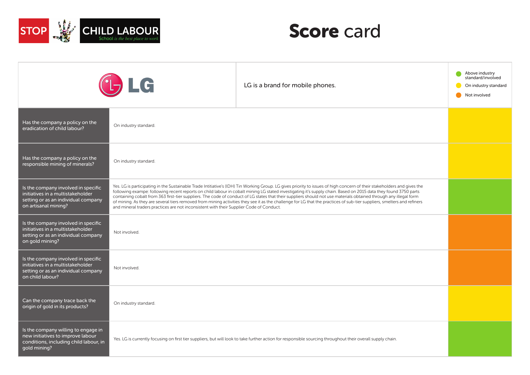

|                                                                                                                                         | $L$ <sub>7</sub> LG                                                                                                                                                                                                                                                                                                                                                                                                                                                                                                                                                                                                                                                                                                                                                                    | LG is a brand for mobile phones.                                                                                                                            | Above industry<br>standard/involved<br>On industry standard<br>Not involved |
|-----------------------------------------------------------------------------------------------------------------------------------------|----------------------------------------------------------------------------------------------------------------------------------------------------------------------------------------------------------------------------------------------------------------------------------------------------------------------------------------------------------------------------------------------------------------------------------------------------------------------------------------------------------------------------------------------------------------------------------------------------------------------------------------------------------------------------------------------------------------------------------------------------------------------------------------|-------------------------------------------------------------------------------------------------------------------------------------------------------------|-----------------------------------------------------------------------------|
| Has the company a policy on the<br>eradication of child labour?                                                                         | On industry standard.                                                                                                                                                                                                                                                                                                                                                                                                                                                                                                                                                                                                                                                                                                                                                                  |                                                                                                                                                             |                                                                             |
| Has the company a policy on the<br>responsible mining of minerals?                                                                      | On industry standard.                                                                                                                                                                                                                                                                                                                                                                                                                                                                                                                                                                                                                                                                                                                                                                  |                                                                                                                                                             |                                                                             |
| Is the company involved in specific<br>initiatives in a multistakeholder<br>setting or as an individual company<br>on artisanal mining? | Yes. LG is participating in the Sustainable Trade Intitiative's (IDH) Tin Working Group. LG gives priority to issues of high concern of their stakeholders and gives the<br>following exampe: following recent reports on child labour in cobalt mining LG stated investigating it's supply chain. Based on 2015 data they found 3750 parts<br>containing cobalt from 363 first-tier suppliers. The code of conduct of LG states that their suppliers should not use materials obtained through any illegal form<br>of mining. As they are several tiers removed from mining activities they see it as the challenge for LG that the practices of sub-tier suppliers, smelters and refiners<br>and mineral traders practices are not inconsistent with their Supplier Code of Conduct. |                                                                                                                                                             |                                                                             |
| Is the company involved in specific<br>initiatives in a multistakeholder<br>setting or as an individual company<br>on gold mining?      | Not involved.                                                                                                                                                                                                                                                                                                                                                                                                                                                                                                                                                                                                                                                                                                                                                                          |                                                                                                                                                             |                                                                             |
| Is the company involved in specific<br>initiatives in a multistakeholder<br>setting or as an individual company<br>on child labour?     | Not involved.                                                                                                                                                                                                                                                                                                                                                                                                                                                                                                                                                                                                                                                                                                                                                                          |                                                                                                                                                             |                                                                             |
| Can the company trace back the<br>origin of gold in its products?                                                                       | On industry standard.                                                                                                                                                                                                                                                                                                                                                                                                                                                                                                                                                                                                                                                                                                                                                                  |                                                                                                                                                             |                                                                             |
| Is the company willing to engage in<br>new initiatives to improve labour<br>conditions, including child labour, in<br>gold mining?      |                                                                                                                                                                                                                                                                                                                                                                                                                                                                                                                                                                                                                                                                                                                                                                                        | Yes. LG is currently focusing on first tier suppliers, but will look to take further action for responsible sourcing throughout their overall supply chain. |                                                                             |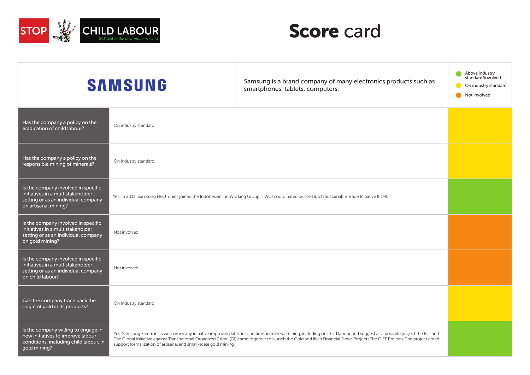

|                                                                                                                                         | <b>SAMSUNG</b>                                                                                                                               | Samsung is a brand company of many electronics products such as<br>smartphones, tablets, computers.                                                                                                                                                                                                                                                    | Above industry<br>standard/involved<br>On industry standard<br>Not involved |
|-----------------------------------------------------------------------------------------------------------------------------------------|----------------------------------------------------------------------------------------------------------------------------------------------|--------------------------------------------------------------------------------------------------------------------------------------------------------------------------------------------------------------------------------------------------------------------------------------------------------------------------------------------------------|-----------------------------------------------------------------------------|
| Has the company a policy on the<br>eradication of child labour?                                                                         | On industry standard.                                                                                                                        |                                                                                                                                                                                                                                                                                                                                                        |                                                                             |
| Has the company a policy on the<br>responsible mining of minerals?                                                                      | On industry standard.                                                                                                                        |                                                                                                                                                                                                                                                                                                                                                        |                                                                             |
| Is the company involved in specific<br>initiatives in a multistakeholder<br>setting or as an individual company<br>on artisanal mining? | Yes. In 2013, Samsung Electronics joined the Indonesian Tin Working Group (TWG) coordinated by the Dutch Sustainable Trade Initiative (IDH). |                                                                                                                                                                                                                                                                                                                                                        |                                                                             |
| Is the company involved in specific<br>initiatives in a multistakeholder<br>setting or as an individual company<br>on gold mining?      | Not involved.                                                                                                                                |                                                                                                                                                                                                                                                                                                                                                        |                                                                             |
| Is the company involved in specific<br>initiatives in a multistakeholder<br>setting or as an individual company<br>on child labour?     | Not involved.                                                                                                                                |                                                                                                                                                                                                                                                                                                                                                        |                                                                             |
| Can the company trace back the<br>origin of gold in its products?                                                                       | On industry standard.                                                                                                                        |                                                                                                                                                                                                                                                                                                                                                        |                                                                             |
| Is the company willing to engage in<br>new initiatives to improve labour<br>conditions, including child labour, in<br>gold mining?      | support formalization of artisanal and small-scale gold mining.                                                                              | Yes. Samsung Electronics welcomes any initiative improving labour conditions in mineral mining, including on child labour and suggest as a possible project the ELL and<br>The Global Initiative against Transnational Organized Crime (GI) came together to launch the Gold and Illicit Financial Flows Project (The GIFF Project). The project could |                                                                             |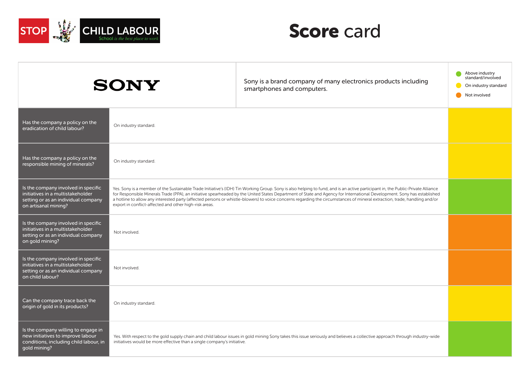

|                                                                                                                                         | <b>SONY</b>                                                                                                                                                                                                                                                                                                                                                                                                                                                                                                                                                                                       | Sony is a brand company of many electronics products including<br>smartphones and computers.                                                                               | Above industry<br>standard/involved<br>On industry standard<br>Not involved |
|-----------------------------------------------------------------------------------------------------------------------------------------|---------------------------------------------------------------------------------------------------------------------------------------------------------------------------------------------------------------------------------------------------------------------------------------------------------------------------------------------------------------------------------------------------------------------------------------------------------------------------------------------------------------------------------------------------------------------------------------------------|----------------------------------------------------------------------------------------------------------------------------------------------------------------------------|-----------------------------------------------------------------------------|
| Has the company a policy on the<br>eradication of child labour?                                                                         | On industry standard.                                                                                                                                                                                                                                                                                                                                                                                                                                                                                                                                                                             |                                                                                                                                                                            |                                                                             |
| Has the company a policy on the<br>responsible mining of minerals?                                                                      | On industry standard.                                                                                                                                                                                                                                                                                                                                                                                                                                                                                                                                                                             |                                                                                                                                                                            |                                                                             |
| Is the company involved in specific<br>initiatives in a multistakeholder<br>setting or as an individual company<br>on artisanal mining? | Yes. Sony is a member of the Sustainable Trade Initiative's (IDH) Tin Working Group. Sony is also helping to fund, and is an active participant in, the Public-Private Alliance<br>for Responsible Minerals Trade (PPA), an initiative spearheaded by the United States Department of State and Agency for International Development. Sony has established<br>a hotline to allow any interested party (affected persons or whistle-blowers) to voice concerns regarding the circumstances of mineral extraction, trade, handling and/or<br>export in conflict-affected and other high-risk areas. |                                                                                                                                                                            |                                                                             |
| Is the company involved in specific<br>initiatives in a multistakeholder<br>setting or as an individual company<br>on gold mining?      | Not involved.                                                                                                                                                                                                                                                                                                                                                                                                                                                                                                                                                                                     |                                                                                                                                                                            |                                                                             |
| Is the company involved in specific<br>initiatives in a multistakeholder<br>setting or as an individual company<br>on child labour?     | Not involved.                                                                                                                                                                                                                                                                                                                                                                                                                                                                                                                                                                                     |                                                                                                                                                                            |                                                                             |
| Can the company trace back the<br>origin of gold in its products?                                                                       | On industry standard.                                                                                                                                                                                                                                                                                                                                                                                                                                                                                                                                                                             |                                                                                                                                                                            |                                                                             |
| Is the company willing to engage in<br>new initiatives to improve labour<br>conditions, including child labour, in<br>qold mining?      | initiatives would be more effective than a single company's initiative.                                                                                                                                                                                                                                                                                                                                                                                                                                                                                                                           | Yes. With respect to the gold supply chain and child labour issues in gold mining Sony takes this issue seriously and believes a collective approach through industry-wide |                                                                             |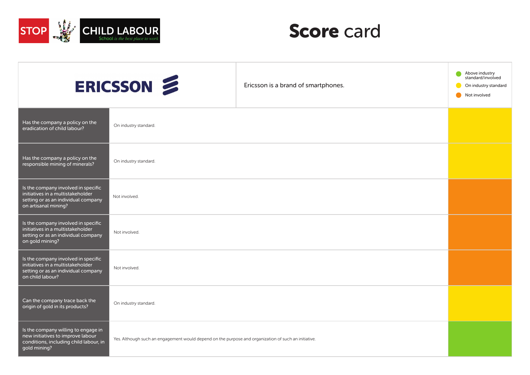

|                                                                                                                                         | ERICSSON                                                                                             | Ericsson is a brand of smartphones. | Above industry<br>standard/involved<br>On industry standard<br>Not involved |
|-----------------------------------------------------------------------------------------------------------------------------------------|------------------------------------------------------------------------------------------------------|-------------------------------------|-----------------------------------------------------------------------------|
| Has the company a policy on the<br>eradication of child labour?                                                                         | On industry standard.                                                                                |                                     |                                                                             |
| Has the company a policy on the<br>responsible mining of minerals?                                                                      | On industry standard.                                                                                |                                     |                                                                             |
| Is the company involved in specific<br>initiatives in a multistakeholder<br>setting or as an individual company<br>on artisanal mining? | Not involved.                                                                                        |                                     |                                                                             |
| Is the company involved in specific<br>initiatives in a multistakeholder<br>setting or as an individual company<br>on gold mining?      | Not involved.                                                                                        |                                     |                                                                             |
| Is the company involved in specific<br>initiatives in a multistakeholder<br>setting or as an individual company<br>on child labour?     | Not involved.                                                                                        |                                     |                                                                             |
| Can the company trace back the<br>origin of gold in its products?                                                                       | On industry standard.                                                                                |                                     |                                                                             |
| Is the company willing to engage in<br>new initiatives to improve labour<br>conditions, including child labour, in<br>gold mining?      | Yes. Although such an engagement would depend on the purpose and organization of such an initiative. |                                     |                                                                             |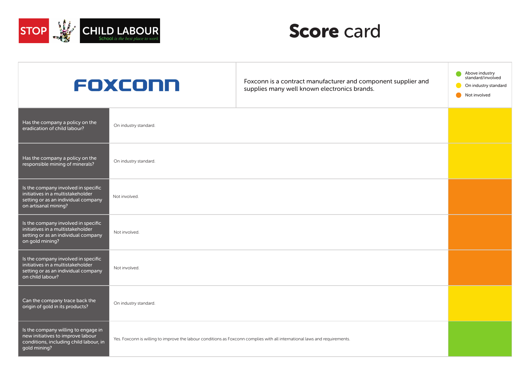

|                                                                                                                                         | FOXCONN                                                                                                                    | Foxconn is a contract manufacturer and component supplier and<br>supplies many well known electronics brands. | Above industry<br>standard/involved<br>On industry standard<br>Not involved |
|-----------------------------------------------------------------------------------------------------------------------------------------|----------------------------------------------------------------------------------------------------------------------------|---------------------------------------------------------------------------------------------------------------|-----------------------------------------------------------------------------|
| Has the company a policy on the<br>eradication of child labour?                                                                         | On industry standard.                                                                                                      |                                                                                                               |                                                                             |
| Has the company a policy on the<br>responsible mining of minerals?                                                                      | On industry standard.                                                                                                      |                                                                                                               |                                                                             |
| Is the company involved in specific<br>initiatives in a multistakeholder<br>setting or as an individual company<br>on artisanal mining? | Not involved.                                                                                                              |                                                                                                               |                                                                             |
| Is the company involved in specific<br>initiatives in a multistakeholder<br>setting or as an individual company<br>on gold mining?      | Not involved.                                                                                                              |                                                                                                               |                                                                             |
| Is the company involved in specific<br>initiatives in a multistakeholder<br>setting or as an individual company<br>on child labour?     | Not involved.                                                                                                              |                                                                                                               |                                                                             |
| Can the company trace back the<br>origin of gold in its products?                                                                       | On industry standard.                                                                                                      |                                                                                                               |                                                                             |
| Is the company willing to engage in<br>new initiatives to improve labour<br>conditions, including child labour, in<br>gold mining?      | Yes. Foxconn is willing to improve the labour conditions as Foxconn complies with all international laws and requirements. |                                                                                                               |                                                                             |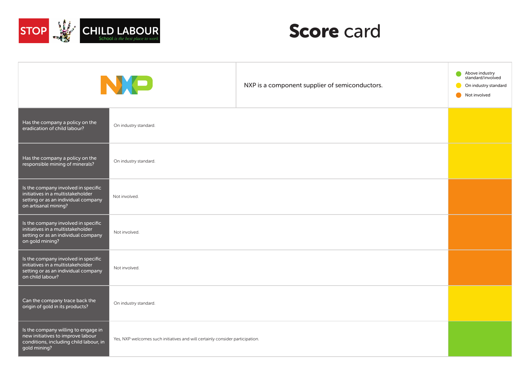

|                                                                                                                                         | NO                                                                            | NXP is a component supplier of semiconductors. | Above industry<br>standard/involved<br>On industry standard<br>Not involved |
|-----------------------------------------------------------------------------------------------------------------------------------------|-------------------------------------------------------------------------------|------------------------------------------------|-----------------------------------------------------------------------------|
| Has the company a policy on the<br>eradication of child labour?                                                                         | On industry standard.                                                         |                                                |                                                                             |
| Has the company a policy on the<br>responsible mining of minerals?                                                                      | On industry standard.                                                         |                                                |                                                                             |
| Is the company involved in specific<br>initiatives in a multistakeholder<br>setting or as an individual company<br>on artisanal mining? | Not involved.                                                                 |                                                |                                                                             |
| Is the company involved in specific<br>initiatives in a multistakeholder<br>setting or as an individual company<br>on gold mining?      | Not involved.                                                                 |                                                |                                                                             |
| Is the company involved in specific<br>initiatives in a multistakeholder<br>setting or as an individual company<br>on child labour?     | Not involved.                                                                 |                                                |                                                                             |
| Can the company trace back the<br>origin of gold in its products?                                                                       | On industry standard.                                                         |                                                |                                                                             |
| Is the company willing to engage in<br>new initiatives to improve labour<br>conditions, including child labour, in<br>gold mining?      | Yes, NXP welcomes such initiatives and will certainly consider participation. |                                                |                                                                             |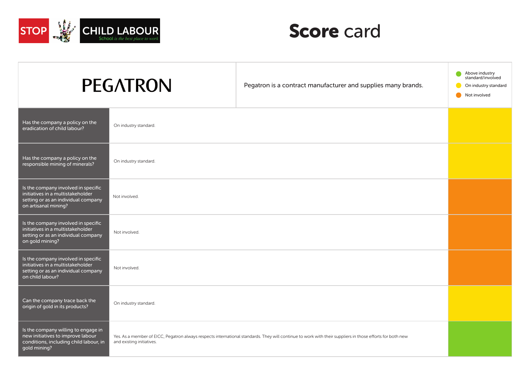

| <b>PEGATRON</b>                                                                                                                         |                                                                                                                                                                                        | Pegatron is a contract manufacturer and supplies many brands. | Above industry<br>standard/involved<br>On industry standard<br>Not involved |
|-----------------------------------------------------------------------------------------------------------------------------------------|----------------------------------------------------------------------------------------------------------------------------------------------------------------------------------------|---------------------------------------------------------------|-----------------------------------------------------------------------------|
| Has the company a policy on the<br>eradication of child labour?                                                                         | On industry standard.                                                                                                                                                                  |                                                               |                                                                             |
| Has the company a policy on the<br>responsible mining of minerals?                                                                      | On industry standard.                                                                                                                                                                  |                                                               |                                                                             |
| Is the company involved in specific<br>initiatives in a multistakeholder<br>setting or as an individual company<br>on artisanal mining? | Not involved.                                                                                                                                                                          |                                                               |                                                                             |
| Is the company involved in specific<br>initiatives in a multistakeholder<br>setting or as an individual company<br>on gold mining?      | Not involved.                                                                                                                                                                          |                                                               |                                                                             |
| Is the company involved in specific<br>initiatives in a multistakeholder<br>setting or as an individual company<br>on child labour?     | Not involved.                                                                                                                                                                          |                                                               |                                                                             |
| Can the company trace back the<br>origin of gold in its products?                                                                       | On industry standard.                                                                                                                                                                  |                                                               |                                                                             |
| Is the company willing to engage in<br>new initiatives to improve labour<br>conditions, including child labour, in<br>gold mining?      | Yes. As a member of EICC, Pegatron always respects international standards. They will continue to work with their suppliers in those efforts for both new<br>and existing initiatives. |                                                               |                                                                             |